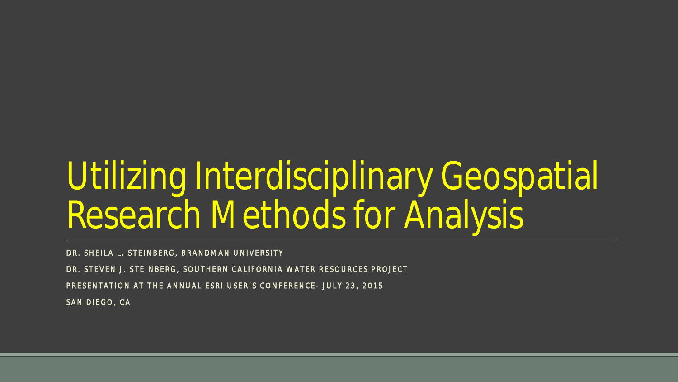# Utilizing Interdisciplinary Geospatial Research Methods for Analysis

DR. SHEILA L. STEINBERG, BRANDMAN UNIVERSITY

DR. STEVEN J. STEINBERG, SOUTHERN CALIFORNIA WATER RESOURCES PROJECT

PRESENTATION AT THE ANNUAL ESRI USER'S CONFERENCE- JULY 23, 2015

SAN DIEGO, CA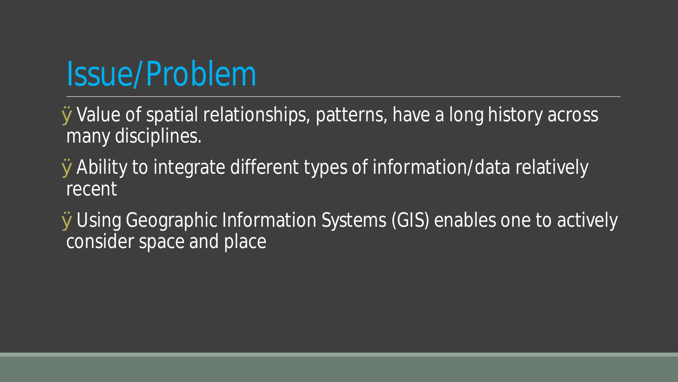# Issue/Problem

ØValue of spatial relationships, patterns, have a long history across many disciplines.

ØAbility to integrate different types of information/data relatively recent

ØUsing Geographic Information Systems (GIS) enables one to actively consider space and place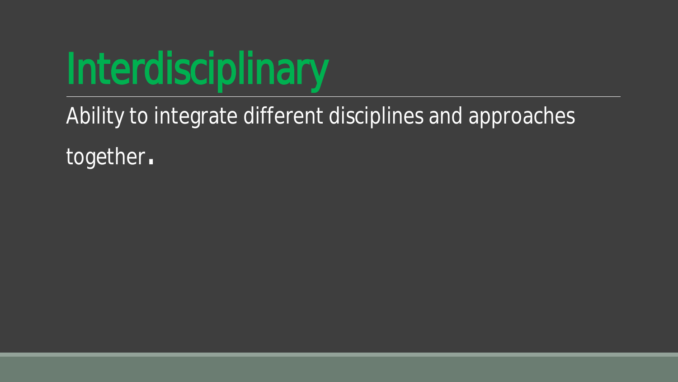

Ability to integrate different disciplines and approaches

together.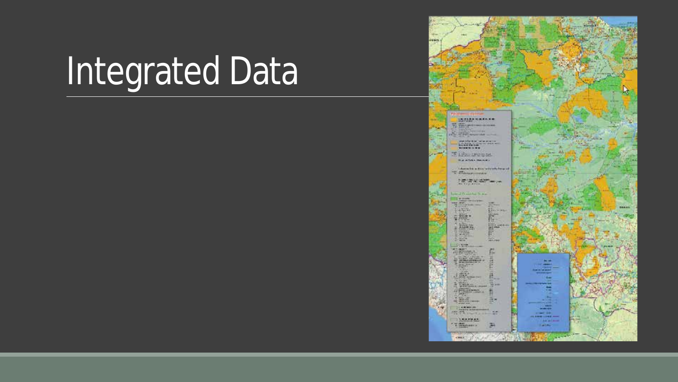# Integrated Data

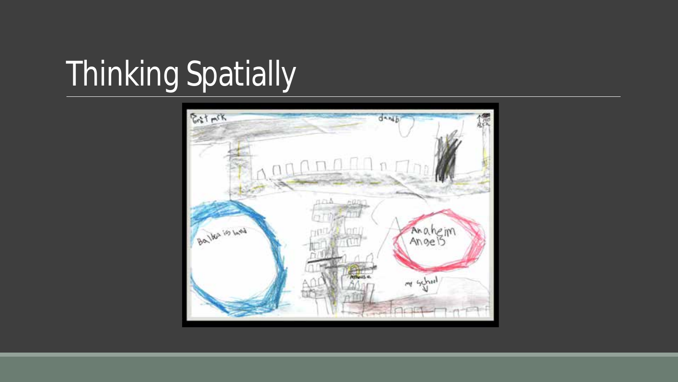# Thinking Spatially

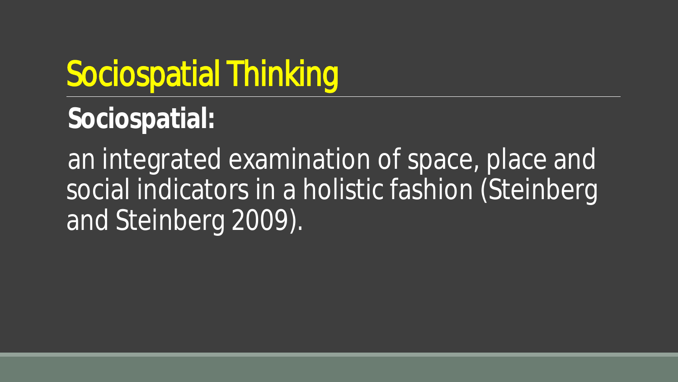# Sociospatial Thinking

**Sociospatial:**

an integrated examination of space, place and social indicators in a holistic fashion (Steinberg and Steinberg 2009).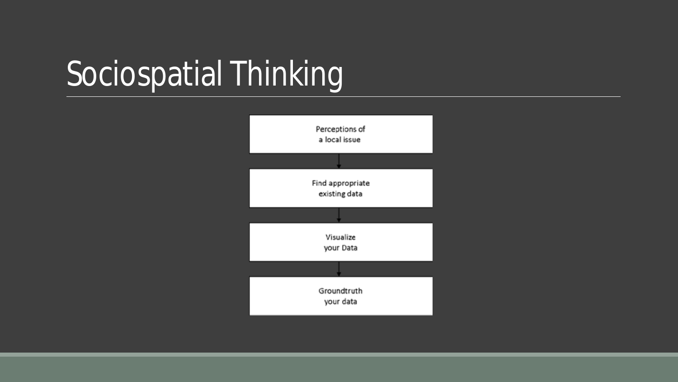# Sociospatial Thinking

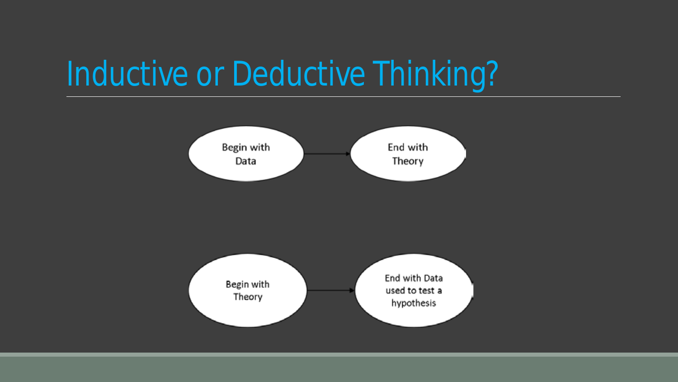# Inductive or Deductive Thinking?

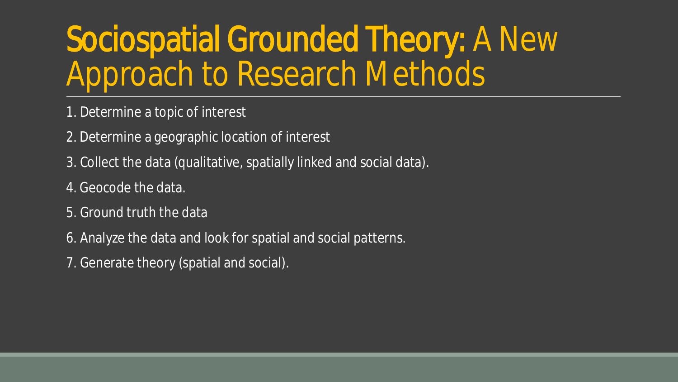# Sociospatial Grounded Theory: A New Approach to Research Methods

- 1. Determine a topic of interest
- 2. Determine a geographic location of interest
- 3. Collect the data (qualitative, spatially linked and social data).
- 4. Geocode the data.
- 5. Ground truth the data
- 6. Analyze the data and look for spatial and social patterns.
- 7. Generate theory (spatial and social).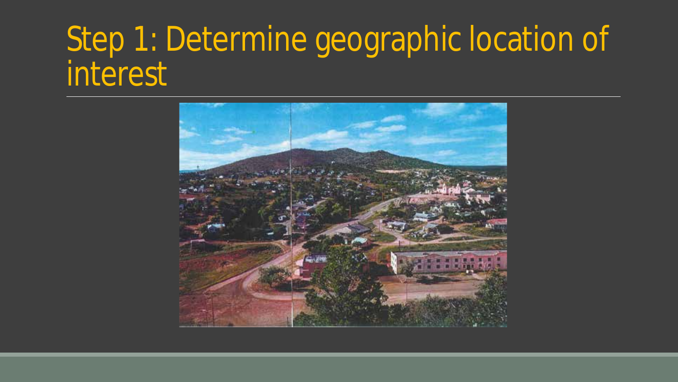#### Step 1: Determine geographic location of interest

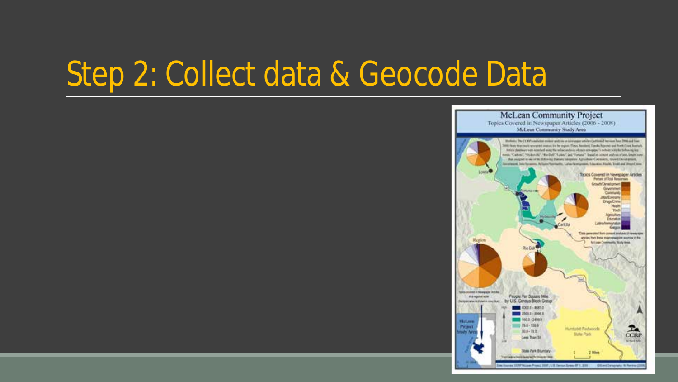#### Step 2: Collect data & Geocode Data

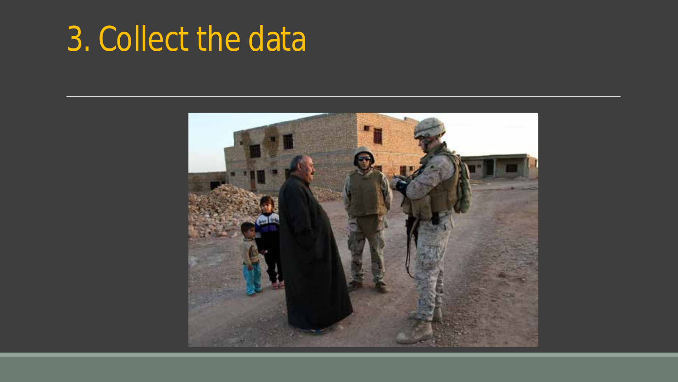### 3. Collect the data

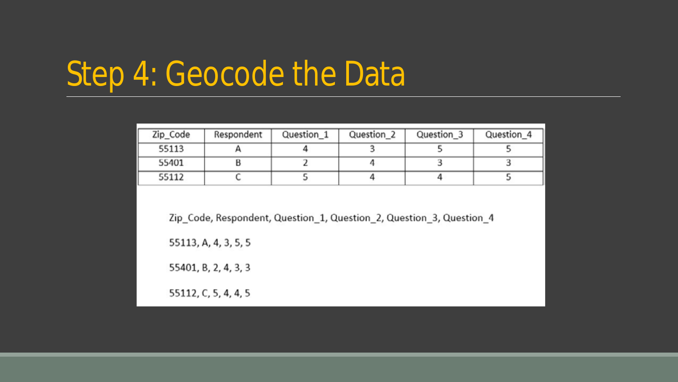#### Step 4: Geocode the Data

| Zip_Code | Respondent | Question_1 | Question <sub>2</sub> | Question <sub>3</sub> | Question_4 |
|----------|------------|------------|-----------------------|-----------------------|------------|
| 55113    |            |            |                       |                       |            |
| 55401    |            |            |                       |                       |            |
| 55112    |            |            |                       |                       |            |

Zip\_Code, Respondent, Question\_1, Question\_2, Question\_3, Question\_4

55113, A, 4, 3, 5, 5

55401, B, 2, 4, 3, 3

55112, C, 5, 4, 4, 5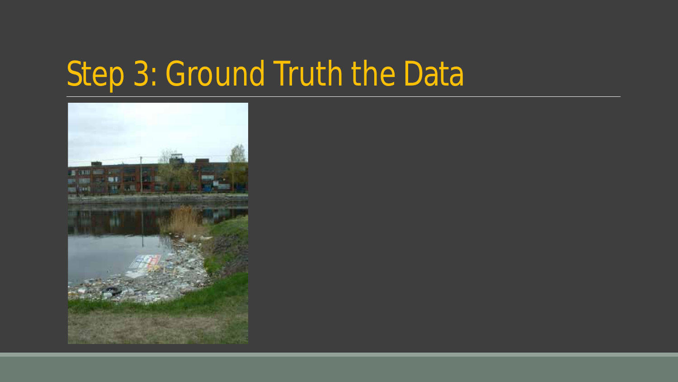### Step 3: Ground Truth the Data

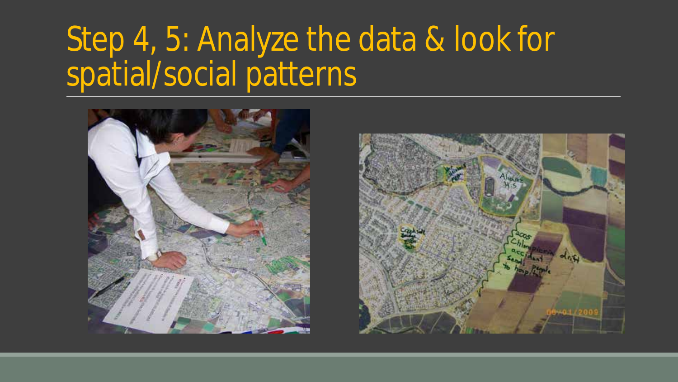#### Step 4, 5: Analyze the data & look for spatial/social patterns



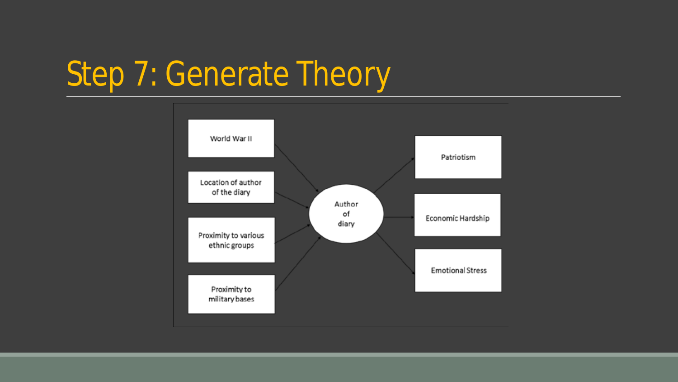### Step 7: Generate Theory

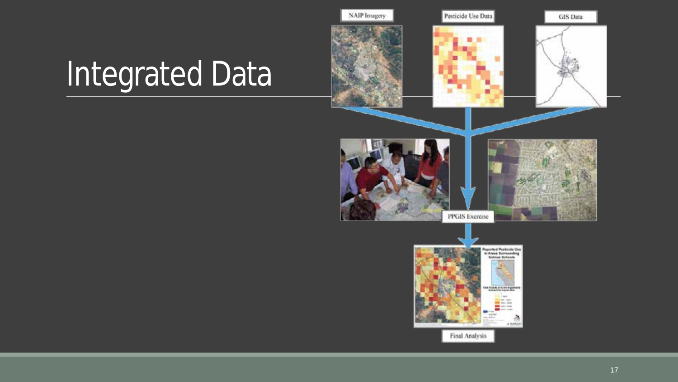# Integrated Data

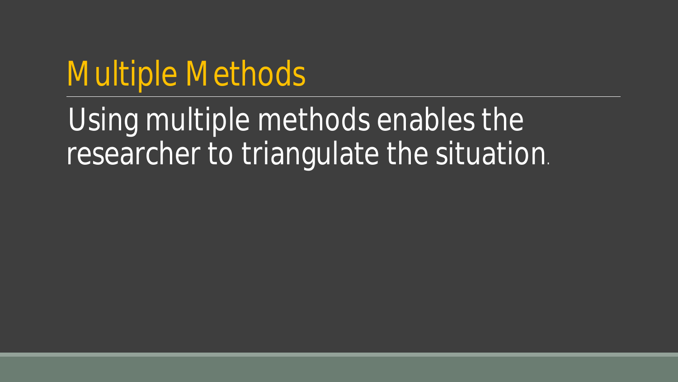#### Multiple Methods

Using multiple methods enables the researcher to triangulate the situation.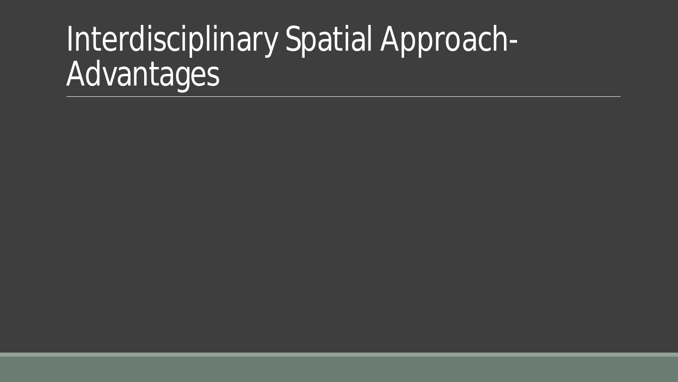### Interdisciplinary Spatial Approach-**Advantages**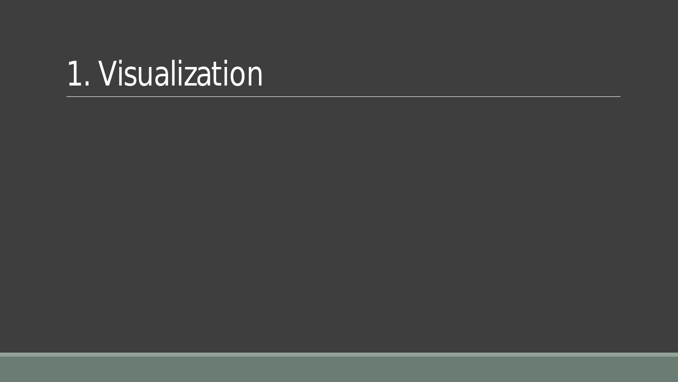#### 1. Visualization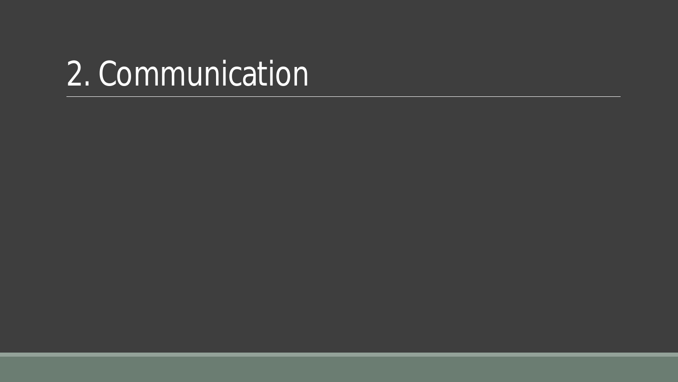#### 2. Communication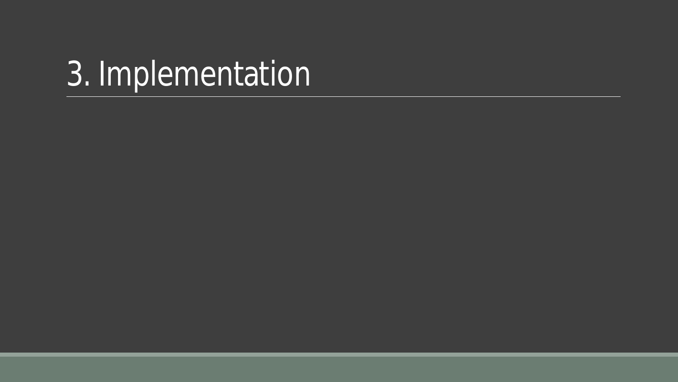# 3. Implementation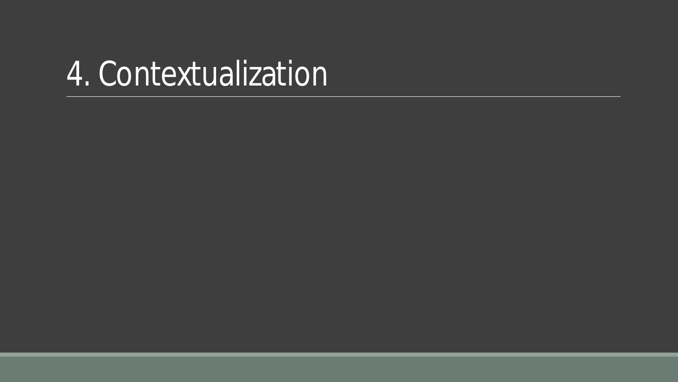#### 4. Contextualization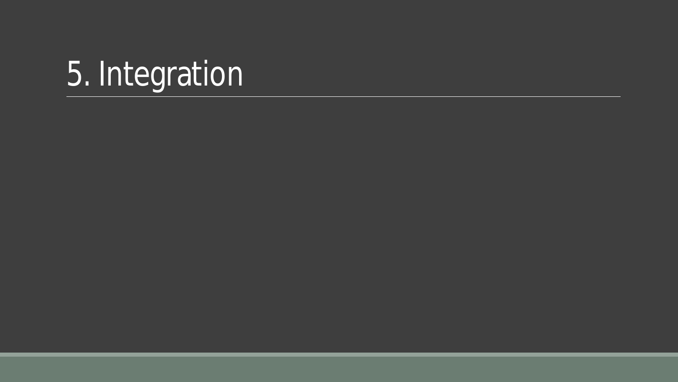# 5. Integration